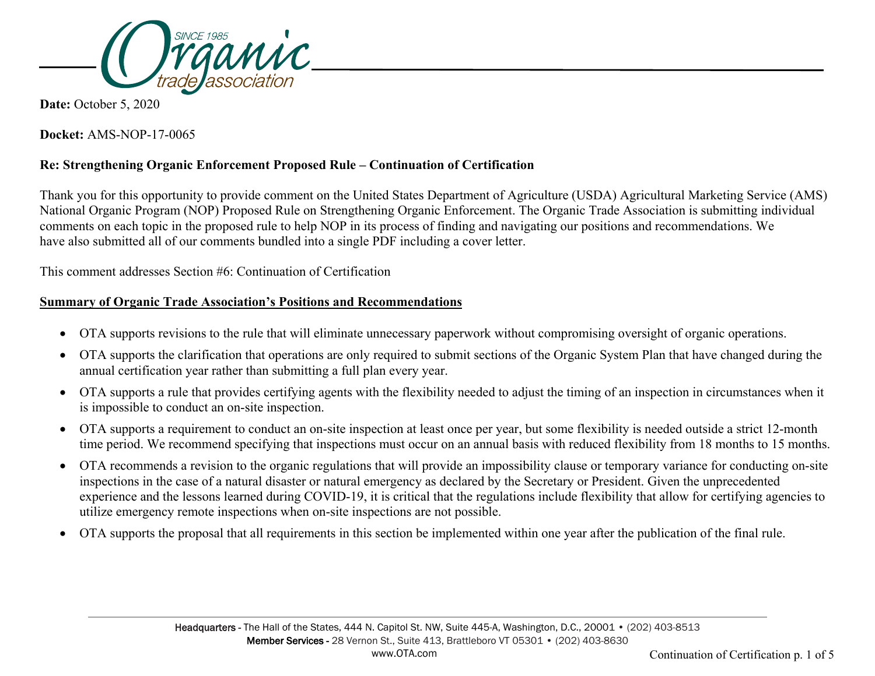

**Date:** October 5, 2020

**Docket:** AMS-NOP-17-0065

# **Re: Strengthening Organic Enforcement Proposed Rule – Continuation of Certification**

Thank you for this opportunity to provide comment on the United States Department of Agriculture (USDA) Agricultural Marketing Service (AMS) National Organic Program (NOP) Proposed Rule on Strengthening Organic Enforcement. The Organic Trade Association is submitting individual comments on each topic in the proposed rule to help NOP in its process of finding and navigating our positions and recommendations. We have also submitted all of our comments bundled into a single PDF including a cover letter.

This comment addresses Section #6: Continuation of Certification

## **Summary of Organic Trade Association's Positions and Recommendations**

- OTA supports revisions to the rule that will eliminate unnecessary paperwork without compromising oversight of organic operations.
- OTA supports the clarification that operations are only required to submit sections of the Organic System Plan that have changed during the annual certification year rather than submitting a full plan every year.
- OTA supports a rule that provides certifying agents with the flexibility needed to adjust the timing of an inspection in circumstances when it is impossible to conduct an on-site inspection.
- OTA supports a requirement to conduct an on-site inspection at least once per year, but some flexibility is needed outside a strict 12-month time period. We recommend specifying that inspections must occur on an annual basis with reduced flexibility from 18 months to 15 months.
- OTA recommends a revision to the organic regulations that will provide an impossibility clause or temporary variance for conducting on-site inspections in the case of a natural disaster or natural emergency as declared by the Secretary or President. Given the unprecedented experience and the lessons learned during COVID-19, it is critical that the regulations include flexibility that allow for certifying agencies to utilize emergency remote inspections when on-site inspections are not possible.
- OTA supports the proposal that all requirements in this section be implemented within one year after the publication of the final rule.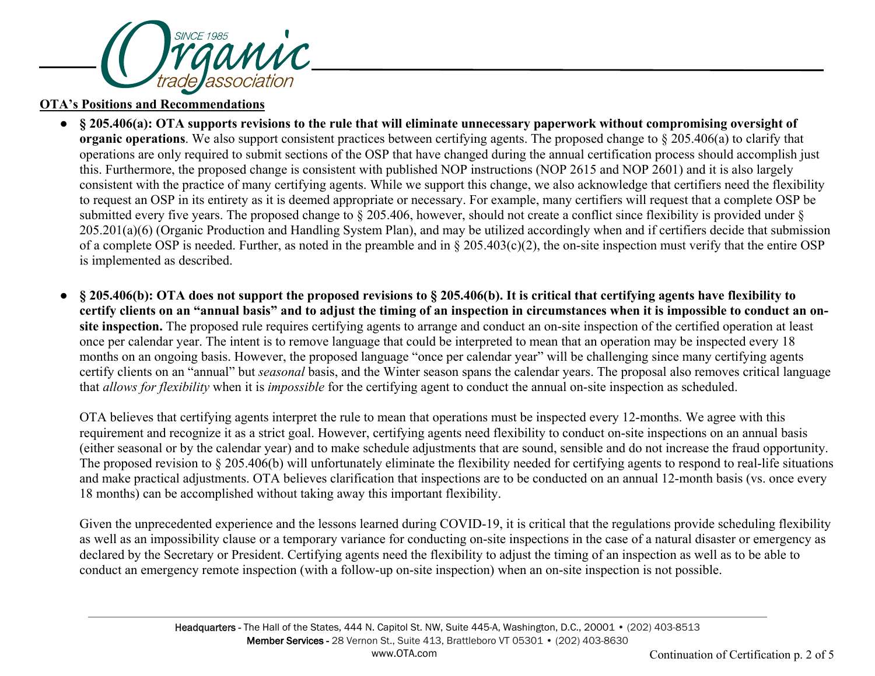

#### **OTA's Positions and Recommendations**

- **§ 205.406(a): OTA supports revisions to the rule that will eliminate unnecessary paperwork without compromising oversight of organic operations**. We also support consistent practices between certifying agents. The proposed change to § 205.406(a) to clarify that operations are only required to submit sections of the OSP that have changed during the annual certification process should accomplish just this. Furthermore, the proposed change is consistent with published NOP instructions (NOP 2615 and NOP 2601) and it is also largely consistent with the practice of many certifying agents. While we support this change, we also acknowledge that certifiers need the flexibility to request an OSP in its entirety as it is deemed appropriate or necessary. For example, many certifiers will request that a complete OSP be submitted every five years. The proposed change to § 205.406, however, should not create a conflict since flexibility is provided under § 205.201(a)(6) (Organic Production and Handling System Plan), and may be utilized accordingly when and if certifiers decide that submission of a complete OSP is needed. Further, as noted in the preamble and in § 205.403(c)(2), the on-site inspection must verify that the entire OSP is implemented as described.
- **§ 205.406(b): OTA does not support the proposed revisions to § 205.406(b). It is critical that certifying agents have flexibility to certify clients on an "annual basis" and to adjust the timing of an inspection in circumstances when it is impossible to conduct an onsite inspection.** The proposed rule requires certifying agents to arrange and conduct an on-site inspection of the certified operation at least once per calendar year. The intent is to remove language that could be interpreted to mean that an operation may be inspected every 18 months on an ongoing basis. However, the proposed language "once per calendar year" will be challenging since many certifying agents certify clients on an "annual" but *seasonal* basis, and the Winter season spans the calendar years. The proposal also removes critical language that *allows for flexibility* when it is *impossible* for the certifying agent to conduct the annual on-site inspection as scheduled.

OTA believes that certifying agents interpret the rule to mean that operations must be inspected every 12-months. We agree with this requirement and recognize it as a strict goal. However, certifying agents need flexibility to conduct on-site inspections on an annual basis (either seasonal or by the calendar year) and to make schedule adjustments that are sound, sensible and do not increase the fraud opportunity. The proposed revision to § 205.406(b) will unfortunately eliminate the flexibility needed for certifying agents to respond to real-life situations and make practical adjustments. OTA believes clarification that inspections are to be conducted on an annual 12-month basis (vs. once every 18 months) can be accomplished without taking away this important flexibility.

Given the unprecedented experience and the lessons learned during COVID-19, it is critical that the regulations provide scheduling flexibility as well as an impossibility clause or a temporary variance for conducting on-site inspections in the case of a natural disaster or emergency as declared by the Secretary or President. Certifying agents need the flexibility to adjust the timing of an inspection as well as to be able to conduct an emergency remote inspection (with a follow-up on-site inspection) when an on-site inspection is not possible.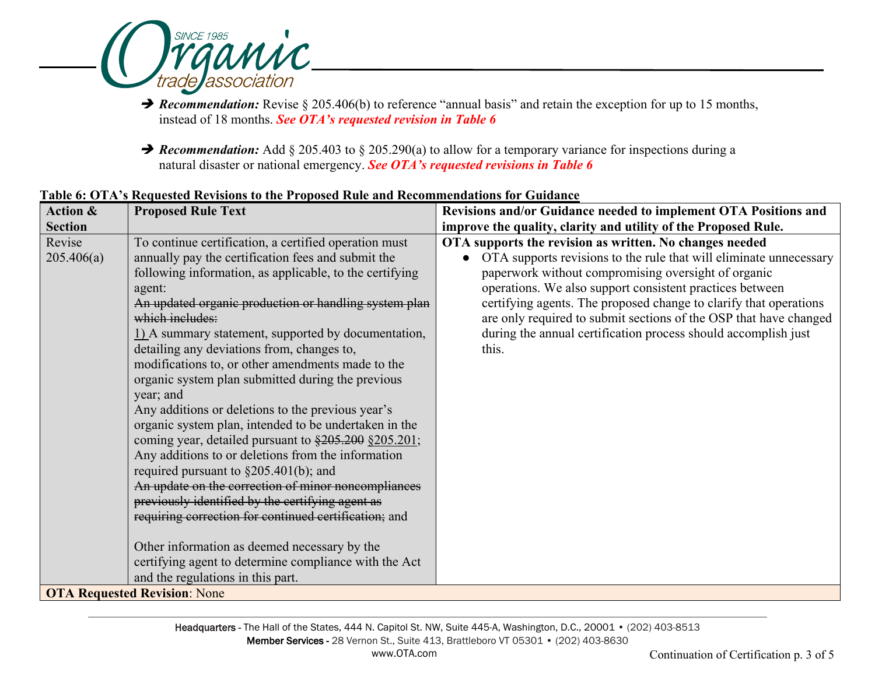

**→ Recommendation:** Revise § 205.406(b) to reference "annual basis" and retain the exception for up to 15 months, instead of 18 months. *See OTA's requested revision in Table 6*

**→ Recommendation:** Add § 205.403 to § 205.290(a) to allow for a temporary variance for inspections during a natural disaster or national emergency. *See OTA's requested revisions in Table 6*

| Action &                            | <b>Proposed Rule Text</b>                                                                                                                                                                                                                                                                                                                                                                                                                                                                                                                                                                                                                                                                                                                                                                                                                                                                                                                                                                                                                                                             | Revisions and/or Guidance needed to implement OTA Positions and                                                                                                                                                                                                                                                                                                                                                                                                       |  |
|-------------------------------------|---------------------------------------------------------------------------------------------------------------------------------------------------------------------------------------------------------------------------------------------------------------------------------------------------------------------------------------------------------------------------------------------------------------------------------------------------------------------------------------------------------------------------------------------------------------------------------------------------------------------------------------------------------------------------------------------------------------------------------------------------------------------------------------------------------------------------------------------------------------------------------------------------------------------------------------------------------------------------------------------------------------------------------------------------------------------------------------|-----------------------------------------------------------------------------------------------------------------------------------------------------------------------------------------------------------------------------------------------------------------------------------------------------------------------------------------------------------------------------------------------------------------------------------------------------------------------|--|
| <b>Section</b>                      |                                                                                                                                                                                                                                                                                                                                                                                                                                                                                                                                                                                                                                                                                                                                                                                                                                                                                                                                                                                                                                                                                       | improve the quality, clarity and utility of the Proposed Rule.                                                                                                                                                                                                                                                                                                                                                                                                        |  |
| Revise<br>205.406(a)                | To continue certification, a certified operation must<br>annually pay the certification fees and submit the<br>following information, as applicable, to the certifying<br>agent:<br>An updated organic production or handling system plan<br>which includes:<br>1) A summary statement, supported by documentation,<br>detailing any deviations from, changes to,<br>modifications to, or other amendments made to the<br>organic system plan submitted during the previous<br>year; and<br>Any additions or deletions to the previous year's<br>organic system plan, intended to be undertaken in the<br>coming year, detailed pursuant to \$205.200 §205.201;<br>Any additions to or deletions from the information<br>required pursuant to $\S 205.401(b)$ ; and<br>An update on the correction of minor noncompliances<br>previously identified by the certifying agent as<br>requiring correction for continued certification; and<br>Other information as deemed necessary by the<br>certifying agent to determine compliance with the Act<br>and the regulations in this part. | OTA supports the revision as written. No changes needed<br>OTA supports revisions to the rule that will eliminate unnecessary<br>paperwork without compromising oversight of organic<br>operations. We also support consistent practices between<br>certifying agents. The proposed change to clarify that operations<br>are only required to submit sections of the OSP that have changed<br>during the annual certification process should accomplish just<br>this. |  |
| <b>OTA Requested Revision: None</b> |                                                                                                                                                                                                                                                                                                                                                                                                                                                                                                                                                                                                                                                                                                                                                                                                                                                                                                                                                                                                                                                                                       |                                                                                                                                                                                                                                                                                                                                                                                                                                                                       |  |

## **Table 6: OTA's Requested Revisions to the Proposed Rule and Recommendations for Guidance**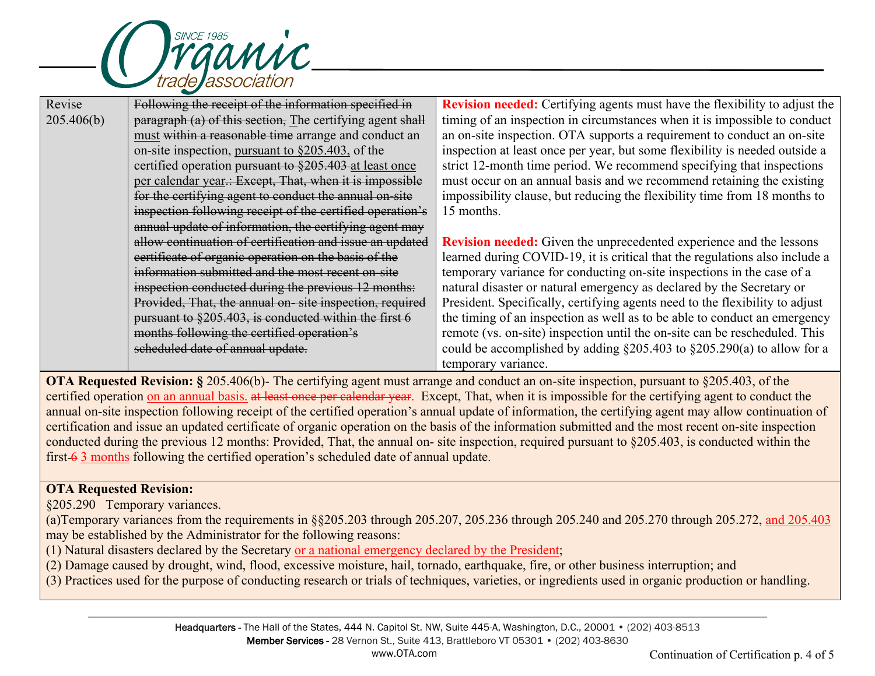

| Revise     | Following the receipt of the information specified in     | <b>Revision needed:</b> Certifying agents must have the flexibility to adjust the |
|------------|-----------------------------------------------------------|-----------------------------------------------------------------------------------|
| 205.406(b) | paragraph (a) of this section, The certifying agent shall | timing of an inspection in circumstances when it is impossible to conduct         |
|            | must within a reasonable time arrange and conduct an      | an on-site inspection. OTA supports a requirement to conduct an on-site           |
|            | on-site inspection, pursuant to $\S 205.403$ , of the     | inspection at least once per year, but some flexibility is needed outside a       |
|            | certified operation pursuant to §205.403 at least once    | strict 12-month time period. We recommend specifying that inspections             |
|            | per calendar year.: Except, That, when it is impossible   | must occur on an annual basis and we recommend retaining the existing             |
|            | for the certifying agent to conduct the annual on-site    | impossibility clause, but reducing the flexibility time from 18 months to         |
|            | inspection following receipt of the certified operation's | 15 months.                                                                        |
|            | annual update of information, the certifying agent may    |                                                                                   |
|            | allow continuation of certification and issue an updated  | <b>Revision needed:</b> Given the unprecedented experience and the lessons        |
|            | certificate of organic operation on the basis of the      | learned during COVID-19, it is critical that the regulations also include a       |
|            | information submitted and the most recent on-site         | temporary variance for conducting on-site inspections in the case of a            |
|            | inspection conducted during the previous 12 months:       | natural disaster or natural emergency as declared by the Secretary or             |
|            | Provided, That, the annual on-site inspection, required   | President. Specifically, certifying agents need to the flexibility to adjust      |
|            | pursuant to §205.403, is conducted within the first 6     | the timing of an inspection as well as to be able to conduct an emergency         |
|            | months following the certified operation's                | remote (vs. on-site) inspection until the on-site can be rescheduled. This        |
|            | scheduled date of annual update.                          | could be accomplished by adding $\S 205.403$ to $\S 205.290(a)$ to allow for a    |
|            |                                                           | temporary variance.                                                               |

**OTA Requested Revision:** § 205.406(b)- The certifying agent must arrange and conduct an on-site inspection, pursuant to §205.403, of the certified operation on an annual basis, at least once per calendar year. Except, That, when it is impossible for the certifying agent to conduct the annual on-site inspection following receipt of the certified operation's annual update of information, the certifying agent may allow continuation of certification and issue an updated certificate of organic operation on the basis of the information submitted and the most recent on-site inspection conducted during the previous 12 months: Provided, That, the annual on- site inspection, required pursuant to §205.403, is conducted within the first 6 3 months following the certified operation's scheduled date of annual update.

# **OTA Requested Revision:**

§205.290 Temporary variances.

(a)Temporary variances from the requirements in §§205.203 through 205.207, 205.236 through 205.240 and 205.270 through 205.272, and 205.403 may be established by the Administrator for the following reasons:

(1) Natural disasters declared by the Secretary or a national emergency declared by the President;

(2) Damage caused by drought, wind, flood, excessive moisture, hail, tornado, earthquake, fire, or other business interruption; and

(3) Practices used for the purpose of conducting research or trials of techniques, varieties, or ingredients used in organic production or handling.